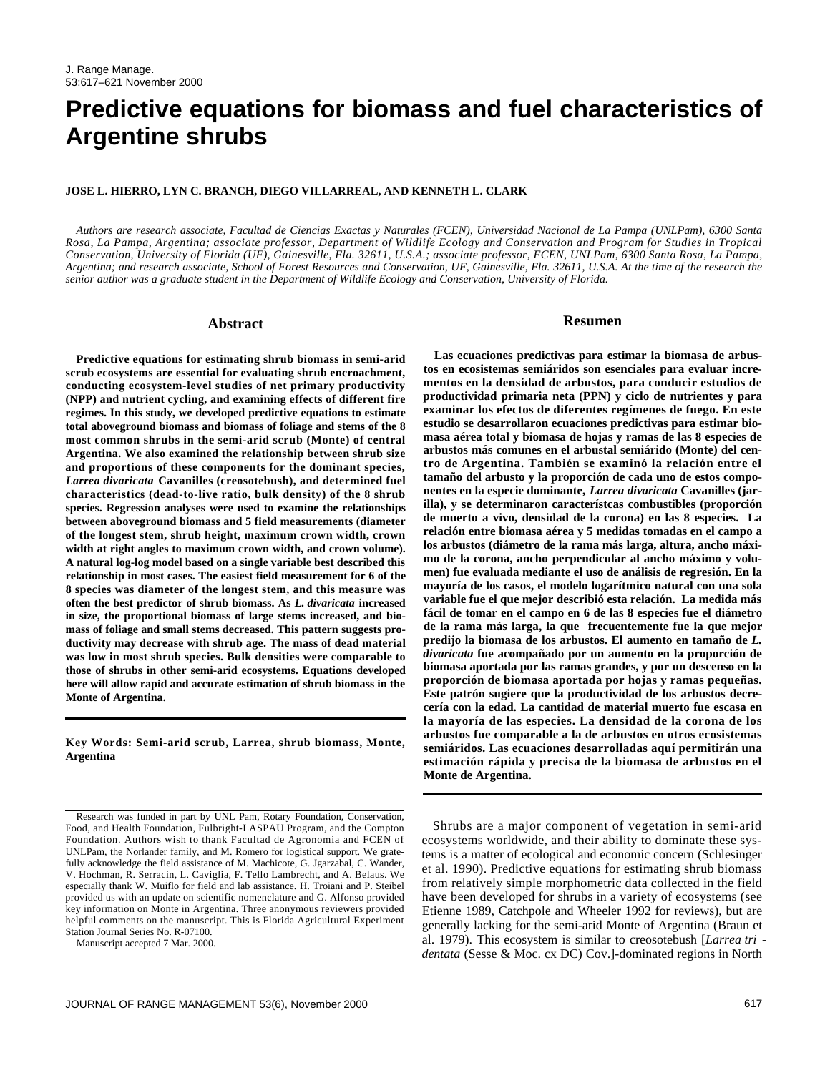# **Predictive equations for biomass and fuel characteristics of Argentine shrubs**

#### **JOSE L. HIERRO, LYN C. BRANCH, DIEGO VILLARREAL, AND KENNETH L. CLARK**

*Authors are research associate, Facultad de Ciencias Exactas y Naturales (FCEN), Universidad Nacional de La Pampa (UNLPam), 6300 Santa Rosa, La Pampa, Argentina; associate professor, Department of Wildlife Ecology and Conservation and Program for Studies in Tropical Conservation, University of Florida (UF), Gainesville, Fla. 32611, U.S.A.; associate professor, FCEN, UNLPam, 6300 Santa Rosa, La Pampa, Argentina; and research associate, School of Forest Resources and Conservation, UF, Gainesville, Fla. 32611, U.S.A. At the time of the research the senior author was a graduate student in the Department of Wildlife Ecology and Conservation, University of Florida.*

#### **Abstract**

**Predictive equations for estimating shrub biomass in semi-arid scrub ecosystems are essential for evaluating shrub encroachment, conducting ecosystem-level studies of net primary productivity (NPP) and nutrient cycling, and examining effects of different fire regimes. In this study, we developed predictive equations to estimate total aboveground biomass and biomass of foliage and stems of the 8 most common shrubs in the semi-arid scrub (Monte) of central Argentina. We also examined the relationship between shrub size and proportions of these components for the dominant species,** *Larrea divaricata* **Cavanilles (creosotebush), and determined fuel characteristics (dead-to-live ratio, bulk density) of the 8 shrub species. Regression analyses were used to examine the relationships between aboveground biomass and 5 field measurements (diameter of the longest stem, shrub height, maximum crown width, crown width at right angles to maximum crown width, and crown volume). A natural log-log model based on a single variable best described this relationship in most cases. The easiest field measurement for 6 of the 8 species was diameter of the longest stem, and this measure was often the best predictor of shrub biomass. As** *L. divaricata* **increased in size, the proportional biomass of large stems increased, and biomass of foliage and small stems decreased. This pattern suggests productivity may decrease with shrub age. The mass of dead material was low in most shrub species. Bulk densities were comparable to those of shrubs in other semi-arid ecosystems. Equations developed here will allow rapid and accurate estimation of shrub biomass in the Monte of Argentina.**

**Key Words: Semi-arid scrub, Larrea, shrub biomass, Monte, Argentina**

Manuscript accepted 7 Mar. 2000.

**Resumen**

**Las ecuaciones predictivas para estimar la biomasa de arbustos en ecosistemas semiáridos son esenciales para evaluar incrementos en la densidad de arbustos, para conducir estudios de productividad primaria neta (PPN) y ciclo de nutrientes y para examinar los efectos de diferentes regímenes de fuego. En este estudio se desarrollaron ecuaciones predictivas para estimar biomasa aérea total y biomasa de hojas y ramas de las 8 especies de arbustos más comunes en el arbustal semiárido (Monte) del centro de Argentina. También se examinó la relación entre el tamaño del arbusto y la proporción de cada uno de estos componentes en la especie dominante,** *Larrea divaricata* **Cavanilles (jarilla), y se determinaron característcas combustibles (proporción de muerto a vivo, densidad de la corona) en las 8 especies. La relación entre biomasa aérea y 5 medidas tomadas en el campo a los arbustos (diámetro de la rama más larga, altura, ancho máximo de la corona, ancho perpendicular al ancho máximo y volumen) fue evaluada mediante el uso de análisis de regresión. En la mayoría de los casos, el modelo logarítmico natural con una sola variable fue el que mejor describió esta relación. La medida más fácil de tomar en el campo en 6 de las 8 especies fue el diámetro de la rama más larga, la que frecuentemente fue la que mejor predijo la biomasa de los arbustos. El aumento en tamaño de** *L. divaricata* **fue acompañado por un aumento en la proporción de biomasa aportada por las ramas grandes, y por un descenso en la proporción de biomasa aportada por hojas y ramas pequeñas. Este patrón sugiere que la productividad de los arbustos decrecería con la edad. La cantidad de material muerto fue escasa en la mayoría de las especies. La densidad de la corona de los arbustos fue comparable a la de arbustos en otros ecosistemas semiáridos. Las ecuaciones desarrolladas aquí permitirán una estimación rápida y precisa de la biomasa de arbustos en el Monte de Argentina.** 

Shrubs are a major component of vegetation in semi-arid ecosystems worldwide, and their ability to dominate these systems is a matter of ecological and economic concern (Schlesinger et al. 1990). Predictive equations for estimating shrub biomass from relatively simple morphometric data collected in the field have been developed for shrubs in a variety of ecosystems (see Etienne 1989, Catchpole and Wheeler 1992 for reviews), but are generally lacking for the semi-arid Monte of Argentina (Braun et al. 1979). This ecosystem is similar to creosotebush [*Larrea tri dentata* (Sesse & Moc. cx DC) Cov.]-dominated regions in North

Research was funded in part by UNL Pam, Rotary Foundation, Conservation, Food, and Health Foundation, Fulbright-LASPAU Program, and the Compton Foundation. Authors wish to thank Facultad de Agronomia and FCEN of UNLPam, the Norlander family, and M. Romero for logistical support. We gratefully acknowledge the field assistance of M. Machicote, G. Jgarzabal, C. Wander, V. Hochman, R. Serracin, L. Caviglia, F. Tello Lambrecht, and A. Belaus. We especially thank W. Muiflo for field and lab assistance. H. Troiani and P. Steibel provided us with an update on scientific nomenclature and G. Alfonso provided key information on Monte in Argentina. Three anonymous reviewers provided helpful comments on the manuscript. This is Florida Agricultural Experiment Station Journal Series No. R-07100.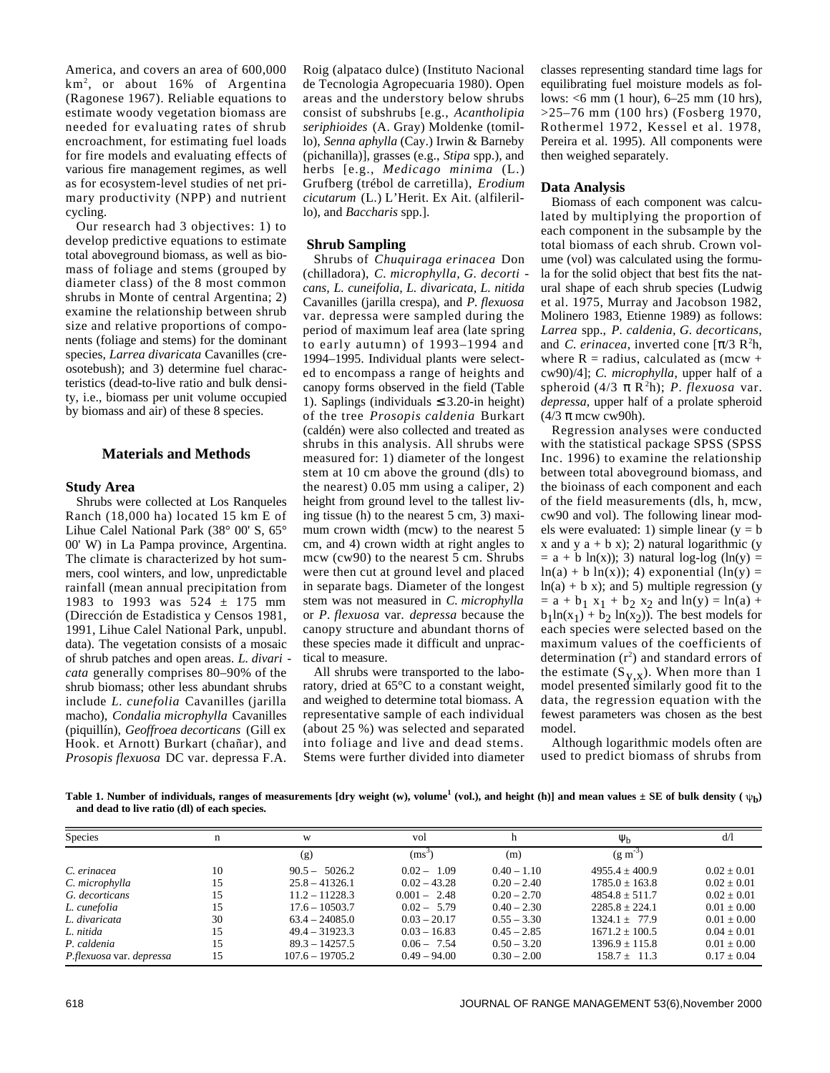America, and covers an area of 600,000  $km^2$ , or about 16% of Argentina (Ragonese 1967). Reliable equations to estimate woody vegetation biomass are needed for evaluating rates of shrub encroachment, for estimating fuel loads for fire models and evaluating effects of various fire management regimes, as well as for ecosystem-level studies of net primary productivity (NPP) and nutrient cycling.

Our research had 3 objectives: 1) to develop predictive equations to estimate total aboveground biomass, as well as biomass of foliage and stems (grouped by diameter class) of the 8 most common shrubs in Monte of central Argentina; 2) examine the relationship between shrub size and relative proportions of components (foliage and stems) for the dominant species, *Larrea divaricata* Cavanilles (creosotebush); and 3) determine fuel characteristics (dead-to-live ratio and bulk density, i.e., biomass per unit volume occupied by biomass and air) of these 8 species.

# **Materials and Methods**

#### **Study Area**

Shrubs were collected at Los Ranqueles Ranch (18,000 ha) located 15 km E of Lihue Calel National Park (38° 00' S, 65° 00' W) in La Pampa province, Argentina. The climate is characterized by hot summers, cool winters, and low, unpredictable rainfall (mean annual precipitation from 1983 to 1993 was  $524 \pm 175$  mm (Dirección de Estadistica y Censos 1981, 1991, Lihue Calel National Park, unpubl. data). The vegetation consists of a mosaic of shrub patches and open areas. *L. divari cata* generally comprises 80–90% of the shrub biomass; other less abundant shrubs include *L. cunefolia* Cavanilles (jarilla macho), *Condalia microphylla* Cavanilles (piquillín), *Geoffroea decorticans* (Gill ex Hook. et Arnott) Burkart (chañar), and *Prosopis flexuosa* DC var. depressa F.A.

Roig (alpataco dulce) (Instituto Nacional de Tecnologia Agropecuaria 1980). Open areas and the understory below shrubs consist of subshrubs [e.g., *Acantholipia*  $seri *phioides*$  (A. Gray) Moldenke (tomillo), *Senna aphylla* (Cay.) Irwin & Barneby (pichanilla)], grasses (e.g., *Stipa* spp.), and herbs [e.g., *Medicago minima* (L.) Grufberg (trébol de carretilla), *Erodium cicutarum* (L.) L'Herit. Ex Ait. (alfilerillo), and *Baccharis* spp.].

## **Shrub Sampling**

Shrubs of *Chuquiraga erinacea* Don (chilladora), *C. microphylla, G. decorti cans, L. cuneifolia, L. divaricata, L. nitida* Cavanilles (jarilla crespa), and *P. flexuosa* var. depressa were sampled during the period of maximum leaf area (late spring to early autumn) of 1993–1994 and 1994–1995. Individual plants were selected to encompass a range of heights and canopy forms observed in the field (Table 1). Saplings (individuals 3.20-in height) of the tree *Prosopis caldenia* Burkart (caldén) were also collected and treated as shrubs in this analysis. All shrubs were measured for: 1) diameter of the longest stem at 10 cm above the ground (dls) to the nearest) 0.05 mm using a caliper, 2) height from ground level to the tallest living tissue (h) to the nearest 5 cm, 3) maximum crown width (mcw) to the nearest 5 cm, and 4) crown width at right angles to mcw (cw90) to the nearest 5 cm. Shrubs were then cut at ground level and placed in separate bags. Diameter of the longest stem was not measured in *C. microphylla* or *P. flexuosa* var. *depressa* because the canopy structure and abundant thorns of these species made it difficult and unpractical to measure.

All shrubs were transported to the laboratory, dried at 65°C to a constant weight, and weighed to determine total biomass. A representative sample of each individual (about 25 %) was selected and separated into foliage and live and dead stems. Stems were further divided into diameter

classes representing standard time lags for equilibrating fuel moisture models as follows: <6 mm (1 hour), 6–25 mm (10 hrs), >25–76 mm (100 hrs) (Fosberg 1970, Rothermel 1972, Kessel et al. 1978, Pereira et al. 1995). All components were then weighed separately.

### **Data Analysis**

Biomass of each component was calculated by multiplying the proportion of each component in the subsample by the total biomass of each shrub. Crown volume (vol) was calculated using the formula for the solid object that best fits the natural shape of each shrub species (Ludwig et al. 1975, Murray and Jacobson 1982, Molinero 1983, Etienne 1989) as follows: Larrea spp., P. caldenia, G. decorticans, and *C. erinacea*, inverted cone  $\left[ \right.$  /3  $\mathbb{R}^2\mathbb{h}$ , where  $R =$  radius, calculated as (mcw + cw90)/4]; *C. microphylla*, upper half of a spheroid  $(4/3 \text{ R}^2\text{h})$ ; *P. flexuosa* var. *depressa*, upper half of a prolate spheroid (4/3 mcw cw90h).

Regression analyses were conducted with the statistical package SPSS (SPSS Inc. 1996) to examine the relationship between total aboveground biomass, and the bioinass of each component and each of the field measurements (dls, h, mcw, cw90 and vol). The following linear models were evaluated: 1) simple linear ( $y = b$ x and y  $a + b$  x); 2) natural logarithmic (y  $= a + b \ln(x)$ ; 3) natural log-log (ln(y)  $=$  $ln(a) + b ln(x)$ ; 4) exponential  $(ln(y) =$  $ln(a) + b x$ ; and 5) multiple regression (y  $=$  a + b<sub>1</sub> x<sub>1</sub> + b<sub>2</sub> x<sub>2</sub> and ln(y) = ln(a) +  $b_1 \ln(x_1) + b_2 \ln(x_2)$ ). The best models for each species were selected based on the maximum values of the coefficients of determination  $(r^2)$  and standard errors of the estimate  $(S_{V,X})$ . When more than 1 model presented similarly good fit to the data, the regression equation with the fewest parameters was chosen as the best model.

Although logarithmic models often are used to predict biomass of shrubs from

Table 1. Number of individuals, ranges of measurements [dry weight (w), volume $^1$  (vol.), and height (h)] and mean values  $\pm$  SE of bulk density (  $\psi_b$ ) **and dead to live ratio (dl) of each species.**

| Species                  | n  | W                 | vol            |               |                  | d/1             |  |
|--------------------------|----|-------------------|----------------|---------------|------------------|-----------------|--|
|                          |    | (g)               | $(ms^2)$       | (m)           | $(g m^{-3})$     |                 |  |
| C. erinacea              | 10 | $90.5 - 5026.2$   | $0.02 - 1.09$  | $0.40 - 1.10$ | $4955.4 + 400.9$ | $0.02 + 0.01$   |  |
| C. microphylla           | 15 | $25.8 - 41326.1$  | $0.02 - 43.28$ | $0.20 - 2.40$ | $1785.0 + 163.8$ | $0.02 + 0.01$   |  |
| G. decorticans           | 15 | $11.2 - 11228.3$  | $0.001 - 2.48$ | $0.20 - 2.70$ | $4854.8 + 511.7$ | $0.02 + 0.01$   |  |
| L. cunefolia             | 15 | $17.6 - 10503.7$  | $0.02 - 5.79$  | $0.40 - 2.30$ | $2285.8 + 224.1$ | $0.01 + 0.00$   |  |
| L. divaricata            | 30 | $63.4 - 24085.0$  | $0.03 - 20.17$ | $0.55 - 3.30$ | $1324.1 + 77.9$  | $0.01 + 0.00$   |  |
| L. nitida                | 15 | $49.4 - 31923.3$  | $0.03 - 16.83$ | $0.45 - 2.85$ | $1671.2 + 100.5$ | $0.04 + 0.01$   |  |
| P. caldenia              | 15 | $89.3 - 14257.5$  | $0.06 - 7.54$  | $0.50 - 3.20$ | $1396.9 + 115.8$ | $0.01 \pm 0.00$ |  |
| P.flexuosa var. depressa | 15 | $107.6 - 19705.2$ | $0.49 - 94.00$ | $0.30 - 2.00$ | $158.7 \pm 11.3$ | $0.17 \pm 0.04$ |  |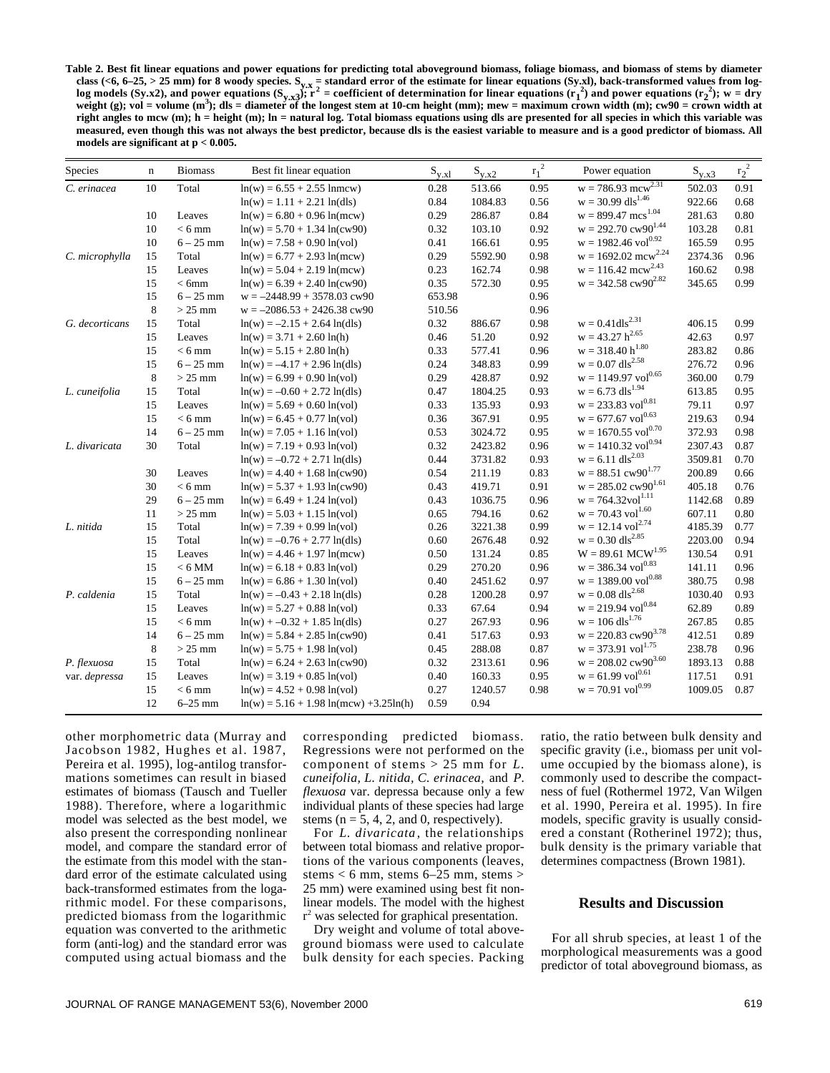**Table 2. Best fit linear equations and power equations for predicting total aboveground biomass, foliage biomass, and biomass of stems by diameter** class (<6, 6–25, > 25 mm) for 8 woody species. S<sub>y.x</sub> = standard error of the estimate for linear equations (Sy.xl), back-transformed values from log-<br>log models (Sy.x2), and power equations (S<sub>y.x3</sub>); r<sup>2</sup> = coefficient **weight (g); vol = volume (m<sup>3</sup> ); dls = diameter of the longest stem at 10-cm height (mm); mew = maximum crown width (m); cw90 = crown width at right angles to mcw (m); h = height (m); ln = natural log. Total biomass equations using dls are presented for all species in which this variable was measured, even though this was not always the best predictor, because dls is the easiest variable to measure and is a good predictor of biomass. All models are significant at p < 0.005.**

| Species        | $\mathbf n$ | <b>Biomass</b> | Best fit linear equation                  | $S_{y.x}$ | $S_{y.x2}$ | $r_1^2$ | Power equation                    | $S_{y.x3}$ | $r_2^2$ |
|----------------|-------------|----------------|-------------------------------------------|-----------|------------|---------|-----------------------------------|------------|---------|
| C. erinacea    | 10          | Total          | $ln(w) = 6.55 + 2.55$ lnmcw)              | 0.28      | 513.66     | 0.95    | $w = 786.93$ mc $w^{2.31}$        | 502.03     | 0.91    |
|                |             |                | $ln(w) = 1.11 + 2.21 ln(dls)$             | 0.84      | 1084.83    | 0.56    | $w = 30.99$ dls <sup>1.46</sup>   | 922.66     | 0.68    |
|                | 10          | Leaves         | $ln(w) = 6.80 + 0.96 ln(mew)$             | 0.29      | 286.87     | 0.84    | $w = 899.47$ mcs <sup>1.04</sup>  | 281.63     | 0.80    |
|                | 10          | $< 6$ mm       | $ln(w) = 5.70 + 1.34 ln(cw90)$            | 0.32      | 103.10     | 0.92    | $w = 292.70$ cw $90^{1.44}$       | 103.28     | 0.81    |
|                | 10          | $6 - 25$ mm    | $ln(w) = 7.58 + 0.90 ln(vol)$             | 0.41      | 166.61     | 0.95    | $w = 1982.46$ vol <sup>0.92</sup> | 165.59     | 0.95    |
| C. microphylla | 15          | Total          | $ln(w) = 6.77 + 2.93 ln(mew)$             | 0.29      | 5592.90    | 0.98    | $w = 1692.02$ mcw <sup>2.24</sup> | 2374.36    | 0.96    |
|                | 15          | Leaves         | $ln(w) = 5.04 + 2.19 ln(mew)$             | 0.23      | 162.74     | 0.98    | $w = 116.42$ mc $w^{2.43}$        | 160.62     | 0.98    |
|                | 15          | < 6mm          | $ln(w) = 6.39 + 2.40 ln(cw90)$            | 0.35      | 572.30     | 0.95    | $w = 342.58$ cw90 <sup>2.82</sup> | 345.65     | 0.99    |
|                | 15          | $6 - 25$ mm    | $w = -2448.99 + 3578.03$ cw90             | 653.98    |            | 0.96    |                                   |            |         |
|                | 8           | $>25$ mm       | $w = -2086.53 + 2426.38$ cw90             | 510.56    |            | 0.96    |                                   |            |         |
| G. decorticans | 15          | Total          | $ln(w) = -2.15 + 2.64 ln(dls)$            | 0.32      | 886.67     | 0.98    | $w = 0.41dls^{2.31}$              | 406.15     | 0.99    |
|                | 15          | Leaves         | $ln(w) = 3.71 + 2.60 ln(h)$               | 0.46      | 51.20      | 0.92    | $w = 43.27 h^{2.65}$              | 42.63      | 0.97    |
|                | 15          | $< 6$ mm       | $ln(w) = 5.15 + 2.80 ln(h)$               | 0.33      | 577.41     | 0.96    | $w = 318.40 h^{1.80}$             | 283.82     | 0.86    |
|                | 15          | $6 - 25$ mm    | $ln(w) = -4.17 + 2.96 ln(dls)$            | 0.24      | 348.83     | 0.99    | $w = 0.07$ dls <sup>2.58</sup>    | 276.72     | 0.96    |
|                | 8           | $>25$ mm       | $ln(w) = 6.99 + 0.90 ln(vol)$             | 0.29      | 428.87     | 0.92    | $w = 1149.97$ vol <sup>0.65</sup> | 360.00     | 0.79    |
| L. cuneifolia  | 15          | Total          | $ln(w) = -0.60 + 2.72 ln(dls)$            | 0.47      | 1804.25    | 0.93    | $w = 6.73$ dls <sup>1.94</sup>    | 613.85     | 0.95    |
|                | 15          | Leaves         | $ln(w) = 5.69 + 0.60 ln(vol)$             | 0.33      | 135.93     | 0.93    | $w = 233.83$ vol <sup>0.81</sup>  | 79.11      | 0.97    |
|                | 15          | $< 6$ mm       | $ln(w) = 6.45 + 0.77 ln(vol)$             | 0.36      | 367.91     | 0.95    | $w = 677.67$ vol <sup>0.63</sup>  | 219.63     | 0.94    |
|                | 14          | $6 - 25$ mm    | $ln(w) = 7.05 + 1.16 ln(vol)$             | 0.53      | 3024.72    | 0.95    | $w = 1670.55$ vol <sup>0.70</sup> | 372.93     | 0.98    |
| L. divaricata  | 30          | Total          | $ln(w) = 7.19 + 0.93 ln(vol)$             | 0.32      | 2423.82    | 0.96    | $w = 1410.32$ vol <sup>0.94</sup> | 2307.43    | 0.87    |
|                |             |                | $ln(w) = -0.72 + 2.71 ln(dls)$            | 0.44      | 3731.82    | 0.93    | $w = 6.11$ dls <sup>2.03</sup>    | 3509.81    | 0.70    |
|                | 30          | Leaves         | $ln(w) = 4.40 + 1.68 ln(cw90)$            | 0.54      | 211.19     | 0.83    | $w = 88.51$ cw $90^{1.77}$        | 200.89     | 0.66    |
|                | 30          | $< 6$ mm       | $ln(w) = 5.37 + 1.93 ln(cw90)$            | 0.43      | 419.71     | 0.91    | $w = 285.02$ cw $90^{1.61}$       | 405.18     | 0.76    |
|                | 29          | $6 - 25$ mm    | $ln(w) = 6.49 + 1.24 ln(vol)$             | 0.43      | 1036.75    | 0.96    | $w = 764.32 \text{vol}^{1.11}$    | 1142.68    | 0.89    |
|                | 11          | $>25$ mm       | $ln(w) = 5.03 + 1.15 ln(vol)$             | 0.65      | 794.16     | 0.62    | $w = 70.43$ vol <sup>1.60</sup>   | 607.11     | 0.80    |
| L. nitida      | 15          | Total          | $ln(w) = 7.39 + 0.99 ln(vol)$             | 0.26      | 3221.38    | 0.99    | $w = 12.14$ vol <sup>2.74</sup>   | 4185.39    | 0.77    |
|                | 15          | Total          | $ln(w) = -0.76 + 2.77 ln(dls)$            | 0.60      | 2676.48    | 0.92    | $w = 0.30$ dls <sup>2.85</sup>    | 2203.00    | 0.94    |
|                | 15          | Leaves         | $ln(w) = 4.46 + 1.97 ln(mew)$             | 0.50      | 131.24     | 0.85    | $W = 89.61$ MCW <sup>1.95</sup>   | 130.54     | 0.91    |
|                | 15          | $< 6$ MM $\,$  | $ln(w) = 6.18 + 0.83 ln(vol)$             | 0.29      | 270.20     | 0.96    | $w = 386.34$ vol <sup>0.83</sup>  | 141.11     | 0.96    |
|                | 15          | $6 - 25$ mm    | $ln(w) = 6.86 + 1.30 ln(vol)$             | 0.40      | 2451.62    | 0.97    | $w = 1389.00$ vol <sup>0.88</sup> | 380.75     | 0.98    |
| P. caldenia    | 15          | Total          | $ln(w) = -0.43 + 2.18 ln(dls)$            | 0.28      | 1200.28    | 0.97    | $w = 0.08$ dls <sup>2.68</sup>    | 1030.40    | 0.93    |
|                | 15          | Leaves         | $ln(w) = 5.27 + 0.88 ln(vol)$             | 0.33      | 67.64      | 0.94    | $w = 219.94$ vol <sup>0.84</sup>  | 62.89      | 0.89    |
|                | 15          | $< 6$ mm       | $ln(w) + -0.32 + 1.85 ln(dls)$            | 0.27      | 267.93     | 0.96    | $w = 106$ dls <sup>1.76</sup>     | 267.85     | 0.85    |
|                | 14          | $6 - 25$ mm    | $ln(w) = 5.84 + 2.85 ln(cw90)$            | 0.41      | 517.63     | 0.93    | $w = 220.83$ cw $90^{3.78}$       | 412.51     | 0.89    |
|                | $\,$ 8 $\,$ | $>25$ mm       | $ln(w) = 5.75 + 1.98 ln(vol)$             | 0.45      | 288.08     | 0.87    | $w = 373.91$ vol <sup>1.75</sup>  | 238.78     | 0.96    |
| P. flexuosa    | 15          | Total          | $ln(w) = 6.24 + 2.63 ln(cw90)$            | 0.32      | 2313.61    | 0.96    | $w = 208.02$ cw $90^{3.60}$       | 1893.13    | 0.88    |
| var. depressa  | 15          | Leaves         | $ln(w) = 3.19 + 0.85 ln(vol)$             | 0.40      | 160.33     | 0.95    | $w = 61.99$ vol <sup>0.61</sup>   | 117.51     | 0.91    |
|                | 15          | $< 6$ mm       | $ln(w) = 4.52 + 0.98 ln(vol)$             | 0.27      | 1240.57    | 0.98    | $w = 70.91$ vol <sup>0.99</sup>   | 1009.05    | 0.87    |
|                | 12          | $6-25$ mm      | $ln(w) = 5.16 + 1.98 ln(mcw) + 3.25ln(h)$ | 0.59      | 0.94       |         |                                   |            |         |

other morphometric data (Murray and Jacobson 1982, Hughes et al. 1987, Pereira et al. 1995), log-antilog transformations sometimes can result in biased estimates of biomass (Tausch and Tueller 1988). Therefore, where a logarithmic model was selected as the best model, we also present the corresponding nonlinear model, and compare the standard error of the estimate from this model with the standard error of the estimate calculated using back-transformed estimates from the logarithmic model. For these comparisons, predicted biomass from the logarithmic equation was converted to the arithmetic form (anti-log) and the standard error was computed using actual biomass and the

corresponding predicted biomass. Regressions were not performed on the component of stems > 25 mm for *L . cuneifolia, L. nitida, C. erinacea,* and *P . flexuosa* var. depressa because only a few individual plants of these species had large stems ( $n = 5, 4, 2,$  and 0, respectively).

For *L. divaricata* , the relationships between total biomass and relative proportions of the various components (leaves, stems  $< 6$  mm, stems  $6-25$  mm, stems  $>$ 25 mm) were examined using best fit nonlinear models. The model with the highest r <sup>2</sup> was selected for graphical presentation.

Dry weight and volume of total aboveground biomass were used to calculate bulk density for each species. Packing

ratio, the ratio between bulk density and specific gravity (i.e., biomass per unit volume occupied by the biomass alone), is commonly used to describe the compactness of fuel (Rothermel 1972, Van Wilgen et al. 1990, Pereira et al. 1995). In fire models, specific gravity is usually considered a constant (Rotherinel 1972); thus, bulk density is the primary variable that determines compactness (Brown 1981).

## **Results and Discussion**

For all shrub species, at least 1 of the morphological measurements was a good predictor of total aboveground biomass, as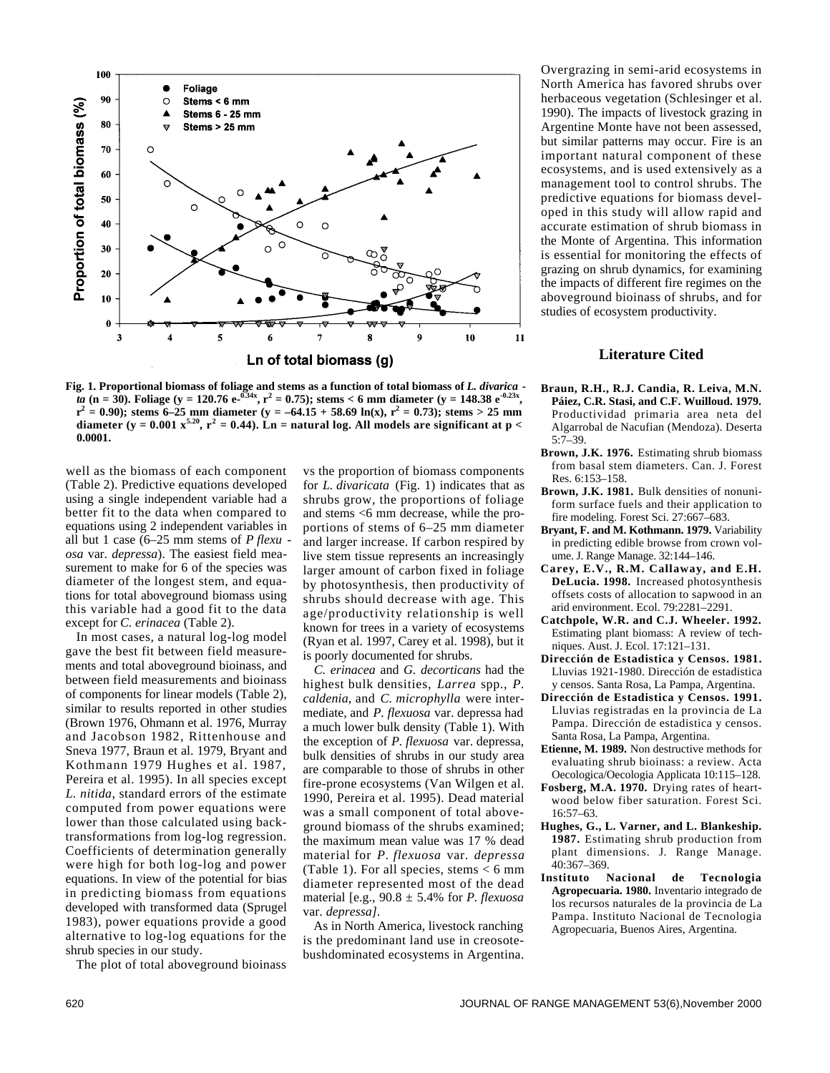

**Fig. 1. Proportional biomass of foliage and stems as a function of total biomass of** *L. divarica ta* (n = 30). Foliage (y = 120.76 e- $^{0.34x}$ , r<sup>2</sup> = 0.75); stems < 6 mm diameter (y = 148.38 e<sup>-0.23x</sup>,  $r^2 = 0.90$ ); stems 6–25 mm diameter (y = –64.15 + 58.69 ln(x),  $r^2 = 0.73$ ); stems > 25 mm diameter (y = 0.001  $x^{5.20}$ ,  $r^2 = 0.44$ ). Ln = natural log. All models are significant at p < **0.0001.**

well as the biomass of each component (Table 2). Predictive equations developed using a single independent variable had a better fit to the data when compared to equations using 2 independent variables in all but 1 case (6–25 mm stems of *P flexu osa* var. *depressa*). The easiest field measurement to make for 6 of the species was diameter of the longest stem, and equations for total aboveground biomass using this variable had a good fit to the data except for *C. erinacea* (Table 2).

In most cases, a natural log-log model gave the best fit between field measurements and total aboveground bioinass, and between field measurements and bioinass of components for linear models (Table 2), similar to results reported in other studies (Brown 1976, Ohmann et al. 1976, Murray and Jacobson 1982, Rittenhouse and Sneva 1977, Braun et al. 1979, Bryant and Kothmann 1979 Hughes et al. 1987, Pereira et al. 1995). In all species except *L. nitida*, standard errors of the estimate computed from power equations were lower than those calculated using backtransformations from log-log regression. Coefficients of determination generally were high for both log-log and power equations. In view of the potential for bias in predicting biomass from equations developed with transformed data (Sprugel 1983), power equations provide a good alternative to log-log equations for the shrub species in our study.

The plot of total aboveground bioinass

vs the proportion of biomass components for *L. divaricata* (Fig. 1) indicates that as shrubs grow, the proportions of foliage and stems <6 mm decrease, while the proportions of stems of 6–25 mm diameter and larger increase. If carbon respired by live stem tissue represents an increasingly larger amount of carbon fixed in foliage by photosynthesis, then productivity of shrubs should decrease with age. This age/productivity relationship is well known for trees in a variety of ecosystems (Ryan et al. 1997, Carey et al. 1998), but it is poorly documented for shrubs.

*C. erinacea* and *G. decorticans* had the highest bulk densities, *Larrea* spp., *P*. *caldenia*, and *C. microphylla* were intermediate, and *P. flexuosa* var. depressa had a much lower bulk density (Table 1). With the exception of *P. flexuosa* var. depressa, bulk densities of shrubs in our study area are comparable to those of shrubs in other fire-prone ecosystems (Van Wilgen et al. 1990, Pereira et al. 1995). Dead material was a small component of total aboveground biomass of the shrubs examined; the maximum mean value was 17 % dead material for *P. flexuosa* var. *depressa* (Table 1). For all species, stems < 6 mm diameter represented most of the dead material [e.g., 90.8 ± 5.4% for *P. flexuosa* var. *depressa]*.

As in North America, livestock ranching is the predominant land use in creosotebushdominated ecosystems in Argentina.

Overgrazing in semi-arid ecosystems in North America has favored shrubs over herbaceous vegetation (Schlesinger et al. 1990). The impacts of livestock grazing in Argentine Monte have not been assessed, but similar patterns may occur. Fire is an important natural component of these ecosystems, and is used extensively as a management tool to control shrubs. The predictive equations for biomass developed in this study will allow rapid and accurate estimation of shrub biomass in the Monte of Argentina. This information is essential for monitoring the effects of grazing on shrub dynamics, for examining the impacts of different fire regimes on the aboveground bioinass of shrubs, and for studies of ecosystem productivity.

## **Literature Cited**

- **Braun, R.H., R.J. Candia, R. Leiva, M.N. Páiez, C.R. Stasi, and C.F. Wuilloud. 1979.** Productividad primaria area neta del Algarrobal de Nacufian (Mendoza). Deserta 5:7–39.
- **Brown, J.K. 1976.** Estimating shrub biomass from basal stem diameters. Can. J. Forest Res. 6:153–158.
- **Brown, J.K. 1981.** Bulk densities of nonuniform surface fuels and their application to fire modeling. Forest Sci. 27:667–683.
- Bryant, F. and M. Kothmann. 1979. Variability in predicting edible browse from crown volume. J. Range Manage. 32:144–146.
- **Carey, E.V., R.M. Callaway, and E.H. DeLucia. 1998.** Increased photosynthesis offsets costs of allocation to sapwood in an arid environment. Ecol. 79:2281–2291.
- **Catchpole, W.R. and C.J. Wheeler. 1992.** Estimating plant biomass: A review of techniques. Aust. J. Ecol. 17:121–131.
- **Dirección de Estadistica y Censos. 1981.** Lluvias 1921-1980. Dirección de estadistica y censos. Santa Rosa, La Pampa, Argentina.
- **Dirección de Estadistica y Censos. 1991.** Lluvias registradas en la provincia de La Pampa. Dirección de estadistica y censos. Santa Rosa, La Pampa, Argentina.
- **Etienne, M. 1989.** Non destructive methods for evaluating shrub bioinass: a review. Acta Oecologica/Oecologia Applicata 10:115–128.
- **Fosberg, M.A. 1970.** Drying rates of heartwood below fiber saturation. Forest Sci. 16:57–63.
- **Hughes, G., L. Varner, and L. Blankeship.** 1987. Estimating shrub production from plant dimensions. J. Range Manage. 40:367–369.<br>**Instituto** 1
- **Nacional de Tecnologia Agropecuaria. 1980.** Inventario integrado de los recursos naturales de la provincia de La Pampa. Instituto Nacional de Tecnologia Agropecuaria, Buenos Aires, Argentina.